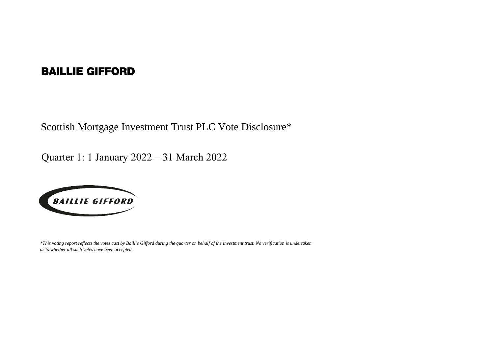## BAILLIE GIFFORD

Scottish Mortgage Investment Trust PLC Vote Disclosure\*

Quarter 1: 1 January 2022 – 31 March 2022



*\*This voting report reflects the votes cast by Baillie Gifford during the quarter on behalf of the investment trust. No verification is undertaken as to whether all such votes have been accepted.*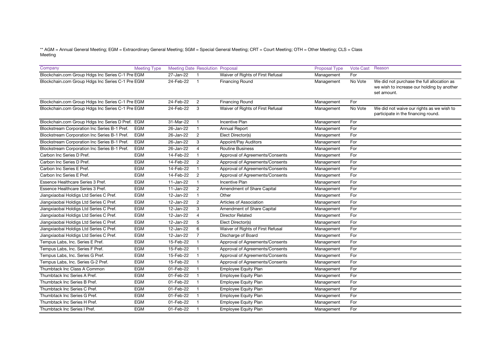## \*\* AGM = Annual General Meeting; EGM = Extraordinary General Meeting; SGM = Special General Meeting; CRT = Court Meeting; OTH = Other Meeting; CLS = Class Meeting

| Company                                          | <b>Meeting Type</b> | Meeting Date Resolution Proposal |                       |                                   | Proposal Type | Vote Cast Reason |                                                                                                         |
|--------------------------------------------------|---------------------|----------------------------------|-----------------------|-----------------------------------|---------------|------------------|---------------------------------------------------------------------------------------------------------|
| Blockchain.com Group Hdgs Inc Series C-1 Pre EGM |                     | 27-Jan-22                        | $\mathbf{1}$          | Waiver of Rights of First Refusal | Management    | For              |                                                                                                         |
| Blockchain.com Group Hdgs Inc Series C-1 Pre EGM |                     | 24-Feb-22                        | $\overline{1}$        | Financing Round                   | Management    | No Vote          | We did not purchase the full allocation as<br>we wish to increase our holding by another<br>set amount. |
| Blockchain.com Group Hdgs Inc Series C-1 Pre EGM |                     | 24-Feb-22                        | $\overline{2}$        | <b>Financing Round</b>            | Management    | For              |                                                                                                         |
| Blockchain.com Group Hdgs Inc Series C-1 Pre EGM |                     | 24-Feb-22                        | 3                     | Waiver of Rights of First Refusal | Management    | No Vote          | We did not waive our rights as we wish to<br>participate in the financing round.                        |
| Blockchain.com Group Hdgs Inc Series D Pref. EGM |                     | 31-Mar-22                        | $\mathbf{1}$          | <b>Incentive Plan</b>             | Management    | For              |                                                                                                         |
| Blockstream Corporation Inc Series B-1 Pref.     | EGM                 | 26-Jan-22                        | $\mathbf{1}$          | <b>Annual Report</b>              | Management    | For              |                                                                                                         |
| Blockstream Corporation Inc Series B-1 Pref.     | EGM                 | 26-Jan-22                        | $\overline{2}$        | Elect Director(s)                 | Management    | For              |                                                                                                         |
| Blockstream Corporation Inc Series B-1 Pref.     | EGM                 | 26-Jan-22                        | 3                     | Appoint/Pay Auditors              | Management    | For              |                                                                                                         |
| Blockstream Corporation Inc Series B-1 Pref.     | <b>EGM</b>          | 26-Jan-22                        | 4                     | <b>Routine Business</b>           | Management    | For              |                                                                                                         |
| Carbon Inc Series D Pref.                        | <b>EGM</b>          | 14-Feb-22                        | $\mathbf{1}$          | Approval of Agreements/Consents   | Management    | For              |                                                                                                         |
| Carbon Inc Series D Pref.                        | <b>EGM</b>          | 14-Feb-22                        | $\overline{2}$        | Approval of Agreements/Consents   | Management    | For              |                                                                                                         |
| Carbon Inc Series E Pref.                        | <b>EGM</b>          | 14-Feb-22                        | $\mathbf{1}$          | Approval of Agreements/Consents   | Management    | For              |                                                                                                         |
| Carbon Inc Series E Pref.                        | <b>EGM</b>          | 14-Feb-22                        | $\overline{2}$        | Approval of Agreements/Consents   | Management    | For              |                                                                                                         |
| Essence Healthcare Series 3 Pref.                | <b>EGM</b>          | $11$ -Jan- $22$                  | $\mathbf{1}$          | <b>Incentive Plan</b>             | Management    | For              |                                                                                                         |
| Essence Healthcare Series 3 Pref.                | <b>EGM</b>          | $11$ -Jan-22                     | $\mathbf{2}^{\prime}$ | Amendment of Share Capital        | Management    | For              |                                                                                                         |
| Jiangxiaobai Holdigs Ltd Series C Pref.          | <b>EGM</b>          | 12-Jan-22                        | $\mathbf{1}$          | Other                             | Management    | For              |                                                                                                         |
| Jiangxiaobai Holdigs Ltd Series C Pref.          | <b>EGM</b>          | 12-Jan-22                        | $\overline{2}$        | Articles of Association           | Management    | For              |                                                                                                         |
| Jiangxiaobai Holdigs Ltd Series C Pref.          | <b>EGM</b>          | 12-Jan-22                        | 3                     | Amendment of Share Capital        | Management    | For              |                                                                                                         |
| Jiangxiaobai Holdigs Ltd Series C Pref.          | EGM                 | 12-Jan-22                        | $\overline{4}$        | <b>Director Related</b>           | Management    | For              |                                                                                                         |
| Jiangxiaobai Holdigs Ltd Series C Pref.          | <b>EGM</b>          | 12-Jan-22                        | 5                     | Elect Director(s)                 | Management    | For              |                                                                                                         |
| Jiangxiaobai Holdigs Ltd Series C Pref.          | <b>EGM</b>          | 12-Jan-22                        | 6                     | Waiver of Rights of First Refusal | Management    | For              |                                                                                                         |
| Jiangxiaobai Holdigs Ltd Series C Pref.          | EGM                 | 12-Jan-22                        | $\overline{7}$        | Discharge of Board                | Management    | For              |                                                                                                         |
| Tempus Labs, Inc. Series E Pref.                 | <b>EGM</b>          | 15-Feb-22                        | $\mathbf{1}$          | Approval of Agreements/Consents   | Management    | For              |                                                                                                         |
| Tempus Labs, Inc. Series F Pref.                 | <b>EGM</b>          | 15-Feb-22                        | $\mathbf{1}$          | Approval of Agreements/Consents   | Management    | For              |                                                                                                         |
| Tempus Labs, Inc. Series G Pref.                 | <b>EGM</b>          | 15-Feb-22                        | $\mathbf{1}$          | Approval of Agreements/Consents   | Management    | For              |                                                                                                         |
| Tempus Labs, Inc. Series G-2 Pref.               | EGM                 | 15-Feb-22                        | $\mathbf{1}$          | Approval of Agreements/Consents   | Management    | For              |                                                                                                         |
| Thumbtack Inc Class A Common                     | <b>EGM</b>          | 01-Feb-22                        | $\mathbf{1}$          | <b>Employee Equity Plan</b>       | Management    | For              |                                                                                                         |
| Thumbtack Inc Series A Pref.                     | <b>EGM</b>          | 01-Feb-22                        | $\mathbf{1}$          | Employee Equity Plan              | Management    | For              |                                                                                                         |
| Thumbtack Inc Series B Pref.                     | <b>EGM</b>          | 01-Feb-22                        | $\mathbf{1}$          | <b>Employee Equity Plan</b>       | Management    | For              |                                                                                                         |
| Thumbtack Inc Series C Pref.                     | <b>EGM</b>          | 01-Feb-22                        | $\mathbf{1}$          | <b>Employee Equity Plan</b>       | Management    | For              |                                                                                                         |
| Thumbtack Inc Series G Pref.                     | <b>EGM</b>          | 01-Feb-22                        | $\mathbf{1}$          | <b>Employee Equity Plan</b>       | Management    | For              |                                                                                                         |
| Thumbtack Inc Series H Pref.                     | <b>EGM</b>          | 01-Feb-22                        | $\mathbf{1}$          | <b>Employee Equity Plan</b>       | Management    | For              |                                                                                                         |
| Thumbtack Inc Series I Pref.                     | <b>EGM</b>          | 01-Feb-22                        | $\mathbf{1}$          | <b>Employee Equity Plan</b>       | Management    | For              |                                                                                                         |